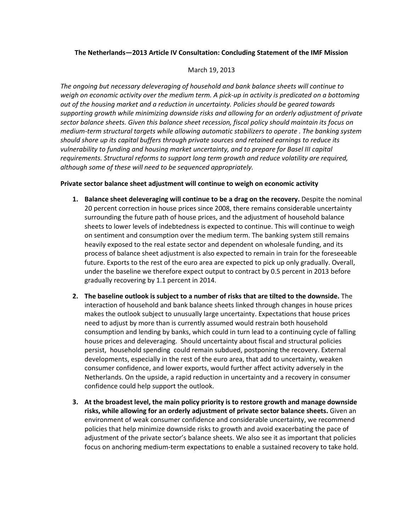## **The Netherlands—2013 Article IV Consultation: Concluding Statement of the IMF Mission**

## March 19, 2013

*The ongoing but necessary deleveraging of household and bank balance sheets will continue to weigh on economic activity over the medium term. A pick-up in activity is predicated on a bottoming out of the housing market and a reduction in uncertainty. Policies should be geared towards supporting growth while minimizing downside risks and allowing for an orderly adjustment of private sector balance sheets. Given this balance sheet recession, fiscal policy should maintain its focus on medium-term structural targets while allowing automatic stabilizers to operate . The banking system should shore up its capital buffers through private sources and retained earnings to reduce its vulnerability to funding and housing market uncertainty, and to prepare for Basel III capital requirements. Structural reforms to support long term growth and reduce volatility are required, although some of these will need to be sequenced appropriately.*

## **Private sector balance sheet adjustment will continue to weigh on economic activity**

- **1. Balance sheet deleveraging will continue to be a drag on the recovery.** Despite the nominal 20 percent correction in house prices since 2008, there remains considerable uncertainty surrounding the future path of house prices, and the adjustment of household balance sheets to lower levels of indebtedness is expected to continue. This will continue to weigh on sentiment and consumption over the medium term. The banking system still remains heavily exposed to the real estate sector and dependent on wholesale funding, and its process of balance sheet adjustment is also expected to remain in train for the foreseeable future. Exports to the rest of the euro area are expected to pick up only gradually. Overall, under the baseline we therefore expect output to contract by 0.5 percent in 2013 before gradually recovering by 1.1 percent in 2014.
- **2. The baseline outlook is subject to a number of risks that are tilted to the downside.** The interaction of household and bank balance sheets linked through changes in house prices makes the outlook subject to unusually large uncertainty. Expectations that house prices need to adjust by more than is currently assumed would restrain both household consumption and lending by banks, which could in turn lead to a continuing cycle of falling house prices and deleveraging. Should uncertainty about fiscal and structural policies persist, household spending could remain subdued, postponing the recovery. External developments, especially in the rest of the euro area, that add to uncertainty, weaken consumer confidence, and lower exports, would further affect activity adversely in the Netherlands. On the upside, a rapid reduction in uncertainty and a recovery in consumer confidence could help support the outlook.
- **3. At the broadest level, the main policy priority is to restore growth and manage downside risks, while allowing for an orderly adjustment of private sector balance sheets.** Given an environment of weak consumer confidence and considerable uncertainty, we recommend policies that help minimize downside risks to growth and avoid exacerbating the pace of adjustment of the private sector's balance sheets. We also see it as important that policies focus on anchoring medium-term expectations to enable a sustained recovery to take hold.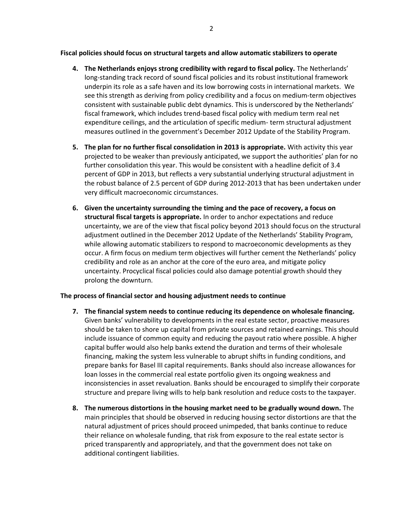**Fiscal policies should focus on structural targets and allow automatic stabilizers to operate**

- **4. The Netherlands enjoys strong credibility with regard to fiscal policy.** The Netherlands' long-standing track record of sound fiscal policies and its robust institutional framework underpin its role as a safe haven and its low borrowing costs in international markets. We see this strength as deriving from policy credibility and a focus on medium-term objectives consistent with sustainable public debt dynamics. This is underscored by the Netherlands' fiscal framework, which includes trend-based fiscal policy with medium term real net expenditure ceilings, and the articulation of specific medium- term structural adjustment measures outlined in the government's December 2012 Update of the Stability Program.
- **5. The plan for no further fiscal consolidation in 2013 is appropriate.** With activity this year projected to be weaker than previously anticipated, we support the authorities' plan for no further consolidation this year. This would be consistent with a headline deficit of 3.4 percent of GDP in 2013, but reflects a very substantial underlying structural adjustment in the robust balance of 2.5 percent of GDP during 2012-2013 that has been undertaken under very difficult macroeconomic circumstances.
- **6. Given the uncertainty surrounding the timing and the pace of recovery, a focus on structural fiscal targets is appropriate.** In order to anchor expectations and reduce uncertainty, we are of the view that fiscal policy beyond 2013 should focus on the structural adjustment outlined in the December 2012 Update of the Netherlands' Stability Program, while allowing automatic stabilizers to respond to macroeconomic developments as they occur. A firm focus on medium term objectives will further cement the Netherlands' policy credibility and role as an anchor at the core of the euro area, and mitigate policy uncertainty. Procyclical fiscal policies could also damage potential growth should they prolong the downturn.

# **The process of financial sector and housing adjustment needs to continue**

- **7. The financial system needs to continue reducing its dependence on wholesale financing.**  Given banks' vulnerability to developments in the real estate sector, proactive measures should be taken to shore up capital from private sources and retained earnings. This should include issuance of common equity and reducing the payout ratio where possible. A higher capital buffer would also help banks extend the duration and terms of their wholesale financing, making the system less vulnerable to abrupt shifts in funding conditions, and prepare banks for Basel III capital requirements. Banks should also increase allowances for loan losses in the commercial real estate portfolio given its ongoing weakness and inconsistencies in asset revaluation. Banks should be encouraged to simplify their corporate structure and prepare living wills to help bank resolution and reduce costs to the taxpayer.
- **8. The numerous distortions in the housing market need to be gradually wound down.** The main principles that should be observed in reducing housing sector distortions are that the natural adjustment of prices should proceed unimpeded, that banks continue to reduce their reliance on wholesale funding, that risk from exposure to the real estate sector is priced transparently and appropriately, and that the government does not take on additional contingent liabilities.